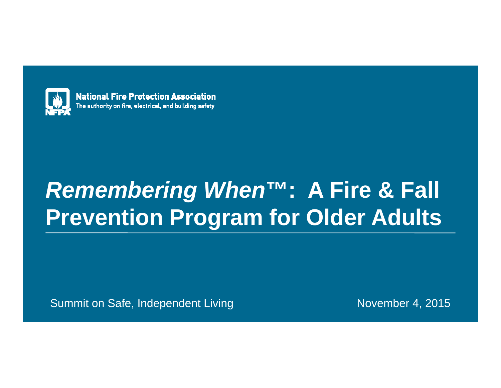

**National Fire Protection Association** The authority on fire, electrical, and building safety

# *Remembering When***™: A Fire & Fall Prevention Program for Older Adults**

Summit on Safe, Independent Living November 4, 2015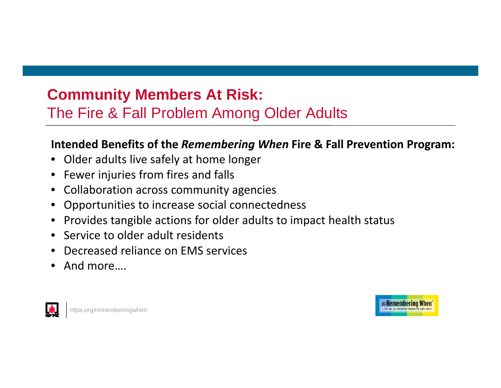#### **Community Members At Risk:** The Fire & Fall Problem Among Older Adults

#### **Intended Benefits of the** *Remembering When* **Fire & Fall Prevention Program:**

- Older adults live safely at home longer
- Fewer injuries from fires and falls
- Collaboration across community agencies
- Opportunities to increase social connectedness
- Provides tangible actions for older adults to impact health status
- Service to older adult residents
- Decreased reliance on EMS services
- And more….



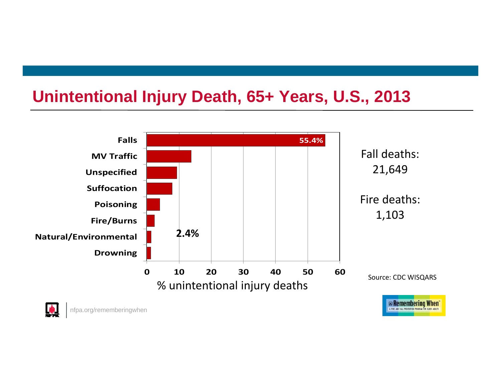#### **Unintentional Injury Death, 65+ Years, U.S., 2013**



FIRE AND FALL PREVENTION PR

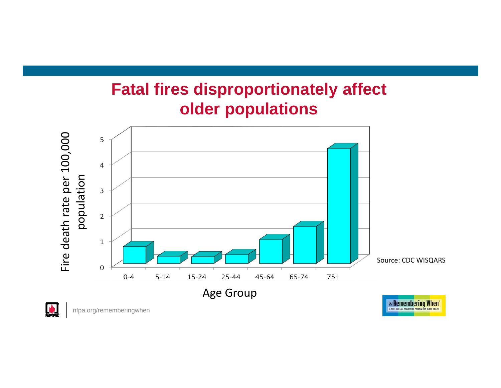## **Fatal fires disproportionately affect older populations**

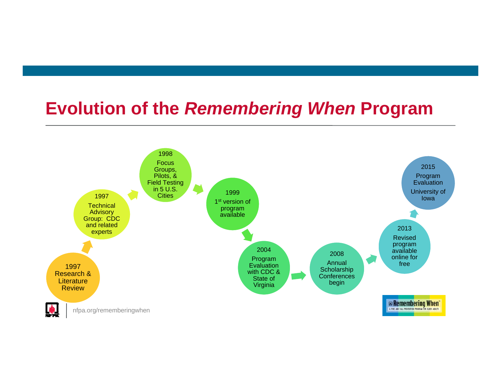### **Evolution of the** *Remembering When* **Program**

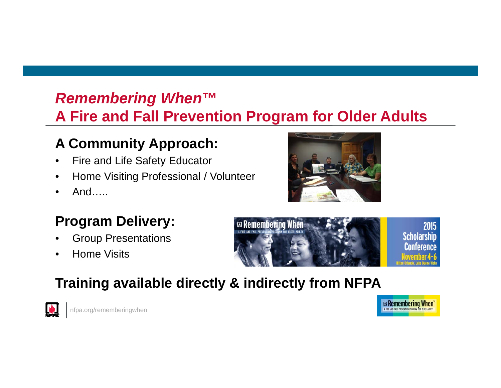#### *Remembering When***™ A Fire and Fall Prevention Program for Older Adults**

#### **A Community Approach:**

- $\bullet$ Fire and Life Safety Educator
- •Home Visiting Professional / Volunteer
- •And…..

#### **Program Delivery:**

- •Group Presentations
- •Home Visits



#### **Training available directly & indirectly from NFPA**





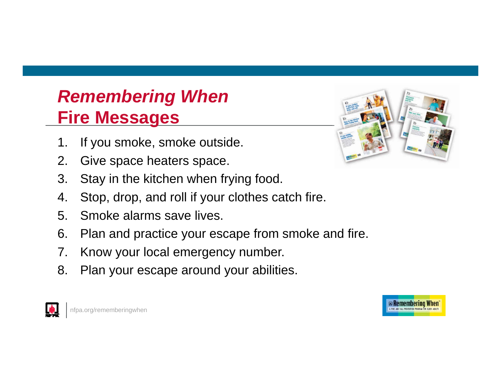## *Remembering When*  **Fire Messages**

- 1. If you smoke, smoke outside.
- 2. Give space heaters space.
- 3. Stay in the kitchen when frying food.
- 4. Stop, drop, and roll if your clothes catch fire.
- 5. Smoke alarms save lives.
- 6. Plan and practice your escape from smoke and fire.
- 7. Know your local emergency number.
- 8. Plan your escape around your abilities.







**Exemplembering When**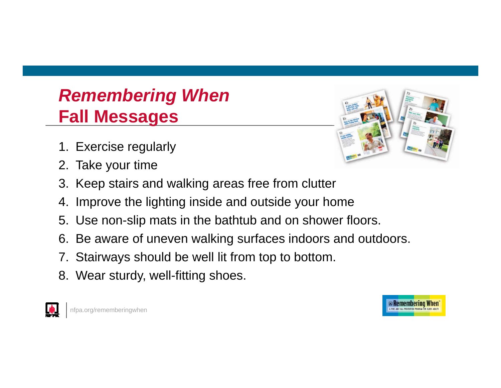## *Remembering When*  **Fall Messages**

- 1. Exercise regularly
- 2. Take your time
- 3. Keep stairs and walking areas free from clutter
- 4. Improve the lighting inside and outside your home
- 5. Use non-slip mats in the bathtub and on shower floors.
- 6. Be aware of uneven walking surfaces indoors and outdoors.
- 7. Stairways should be well lit from top to bottom.
- 8. Wear sturdy, well-fitting shoes.





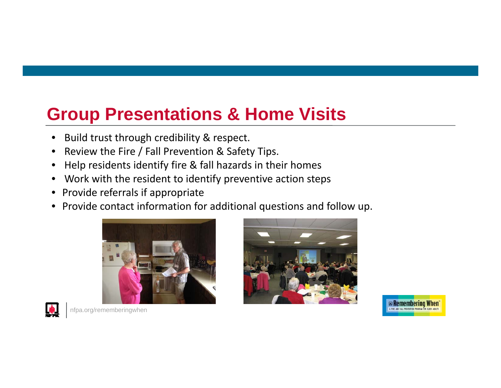## **Group Presentations & Home Visits**

- $\bullet$ **•** Build trust through credibility & respect.
- •• Review the Fire / Fall Prevention & Safety Tips.
- •Help residents identify fire & fall hazards in their homes
- •Work with the resident to identify preventive action steps
- •• Provide referrals if appropriate
- Provide contact information for additional questions and follow up.







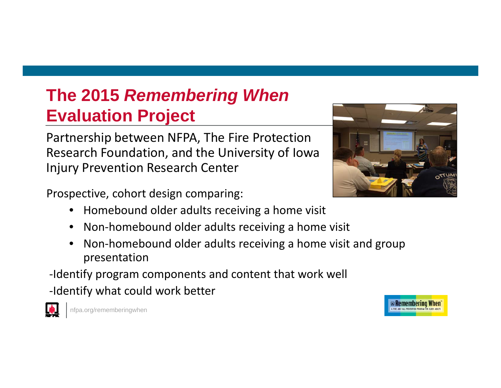## **The 2015** *Remembering When*  **Evaluation Project**

Partnership between NFPA, The Fire Protection Research Foundation, and the University of Iowa Injury Prevention Research Center

Prospective, cohort design comparing:

- •Homebound older adults receiving <sup>a</sup> home visit
- $\bullet$ ● Non-homebound older adults receiving a home visit
- •● Non-homebound older adults receiving a home visit and group presentation

‐Identify program components and content that work well

‐Identify what could work better